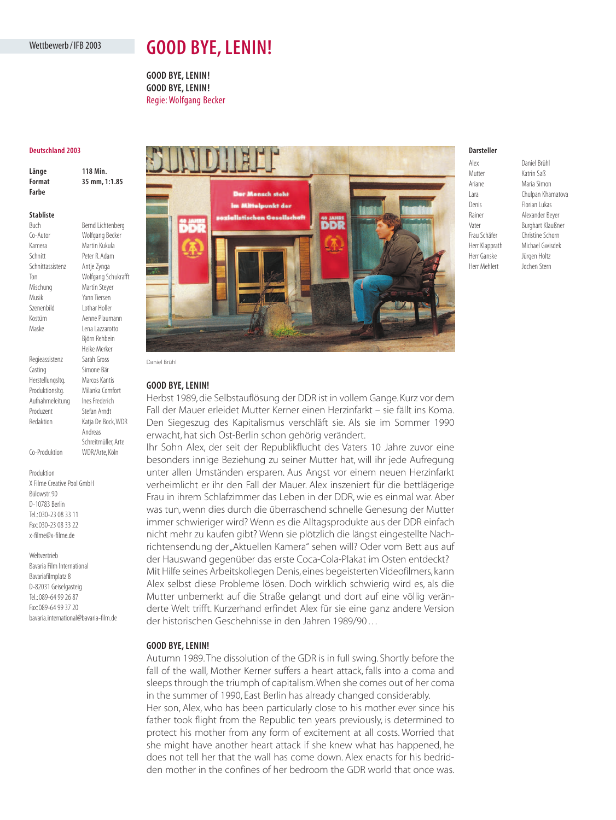## Wetthewerh / IFB 2003

# **GOOD BYE, LENIN!**

**GOOD BYE, LENIN! GOOD BYE, LENIN!** Regie: Wolfgang Becker

## **Deutschland 2003**

**Länge 118 Min. Format 35 mm, 1:1.85 Farbe**

Buch Bernd Lichtenberg

## **Stabliste**

Co-Autor Wolfgang Becker Kamera Martin Kukula Schnitt Peter R. Adam Schnittassistenz Antje Zynga Ton Wolfgang Schukrafft Mischung Martin Steyer Musik Yann Tiersen Szenenbild Lothar Holler Kostüm Aenne Plaumann Maske Lena Lazzarotto Björn Rehbein Heike Merker Regieassistenz Sarah Gross Casting Simone Bär Herstellungsltg. Marcos Kantis Produktionsltg. Milanka Comfort Aufnahmeleitung Ines Frederich Produzent Stefan Arndt Redaktion Katia De Bock, WDR Andreas Schreitmüller, Arte Co-Produktion WDR/Arte Köln Produktion

X Filme Creative Pool GmbH Bülowstr. 90 D-10783 Berlin Tel.: 030-23 08 33 11 Fax: 030-23 08 33 22 x-filme@x-filme.de

Weltvertrieb Bavaria Film International Bavariafilmplatz 8 D-82031 Geiselgasteig Tel.: 089-64 99 26 87

bavaria.international@bavaria-film.de

Fax: 089-64 99 37 20

**Mittelevekt de** in Ga

## **Darsteller**

Mutter Katrin Saß Ariane Maria Simon Denis Florian Lukas Rainer Alexander Beyer Vater Burghart Klaußner Frau Schäfer Christine Schorn Herr Klapprath Michael Gwisdek Herr Ganske Jürgen Holtz Herr Mehlert Jochen Stern

Alex Daniel Brühl Lara Chulpan Khamatova

## **GOOD BYE, LENIN!**

Daniel Brühl

Herbst 1989, die Selbstauflösung der DDR ist in vollem Gange. Kurz vor dem Fall der Mauer erleidet Mutter Kerner einen Herzinfarkt – sie fällt ins Koma. Den Siegeszug des Kapitalismus verschläft sie. Als sie im Sommer 1990 erwacht, hat sich Ost-Berlin schon gehörig verändert.

Ihr Sohn Alex, der seit der Republikflucht des Vaters 10 Jahre zuvor eine besonders innige Beziehung zu seiner Mutter hat, will ihr jede Aufregung unter allen Umständen ersparen. Aus Angst vor einem neuen Herzinfarkt verheimlicht er ihr den Fall der Mauer. Alex inszeniert für die bettlägerige Frau in ihrem Schlafzimmer das Leben in der DDR, wie es einmal war. Aber was tun, wenn dies durch die überraschend schnelle Genesung der Mutter immer schwieriger wird? Wenn es die Alltagsprodukte aus der DDR einfach nicht mehr zu kaufen gibt? Wenn sie plötzlich die längst eingestellte Nachrichtensendung der "Aktuellen Kamera" sehen will? Oder vom Bett aus auf der Hauswand gegenüber das erste Coca-Cola-Plakat im Osten entdeckt? Mit Hilfe seines Arbeitskollegen Denis, eines begeisterten Videofilmers, kann Alex selbst diese Probleme lösen. Doch wirklich schwierig wird es, als die Mutter unbemerkt auf die Straße gelangt und dort auf eine völlig veränderte Welt trifft. Kurzerhand erfindet Alex für sie eine ganz andere Version der historischen Geschehnisse in den Jahren 1989/90 . . .

## **GOOD BYE, LENIN!**

Autumn 1989.The dissolution of the GDR is in full swing. Shortly before the fall of the wall, Mother Kerner suffers a heart attack, falls into a coma and sleeps through the triumph of capitalism.When she comes out of her coma in the summer of 1990, East Berlin has already changed considerably.

Her son, Alex, who has been particularly close to his mother ever since his father took flight from the Republic ten years previously, is determined to protect his mother from any form of excitement at all costs. Worried that she might have another heart attack if she knew what has happened, he does not tell her that the wall has come down. Alex enacts for his bedridden mother in the confines of her bedroom the GDR world that once was.